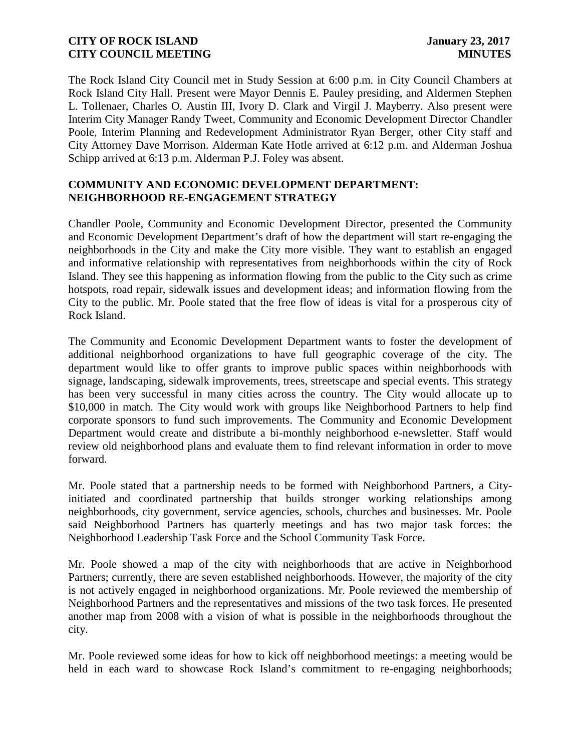The Rock Island City Council met in Study Session at 6:00 p.m. in City Council Chambers at Rock Island City Hall. Present were Mayor Dennis E. Pauley presiding, and Aldermen Stephen L. Tollenaer, Charles O. Austin III, Ivory D. Clark and Virgil J. Mayberry. Also present were Interim City Manager Randy Tweet, Community and Economic Development Director Chandler Poole, Interim Planning and Redevelopment Administrator Ryan Berger, other City staff and City Attorney Dave Morrison. Alderman Kate Hotle arrived at 6:12 p.m. and Alderman Joshua Schipp arrived at 6:13 p.m. Alderman P.J. Foley was absent.

## **COMMUNITY AND ECONOMIC DEVELOPMENT DEPARTMENT: NEIGHBORHOOD RE-ENGAGEMENT STRATEGY**

Chandler Poole, Community and Economic Development Director, presented the Community and Economic Development Department's draft of how the department will start re-engaging the neighborhoods in the City and make the City more visible. They want to establish an engaged and informative relationship with representatives from neighborhoods within the city of Rock Island. They see this happening as information flowing from the public to the City such as crime hotspots, road repair, sidewalk issues and development ideas; and information flowing from the City to the public. Mr. Poole stated that the free flow of ideas is vital for a prosperous city of Rock Island.

The Community and Economic Development Department wants to foster the development of additional neighborhood organizations to have full geographic coverage of the city. The department would like to offer grants to improve public spaces within neighborhoods with signage, landscaping, sidewalk improvements, trees, streetscape and special events. This strategy has been very successful in many cities across the country. The City would allocate up to \$10,000 in match. The City would work with groups like Neighborhood Partners to help find corporate sponsors to fund such improvements. The Community and Economic Development Department would create and distribute a bi-monthly neighborhood e-newsletter. Staff would review old neighborhood plans and evaluate them to find relevant information in order to move forward.

Mr. Poole stated that a partnership needs to be formed with Neighborhood Partners, a Cityinitiated and coordinated partnership that builds stronger working relationships among neighborhoods, city government, service agencies, schools, churches and businesses. Mr. Poole said Neighborhood Partners has quarterly meetings and has two major task forces: the Neighborhood Leadership Task Force and the School Community Task Force.

Mr. Poole showed a map of the city with neighborhoods that are active in Neighborhood Partners; currently, there are seven established neighborhoods. However, the majority of the city is not actively engaged in neighborhood organizations. Mr. Poole reviewed the membership of Neighborhood Partners and the representatives and missions of the two task forces. He presented another map from 2008 with a vision of what is possible in the neighborhoods throughout the city.

Mr. Poole reviewed some ideas for how to kick off neighborhood meetings: a meeting would be held in each ward to showcase Rock Island's commitment to re-engaging neighborhoods;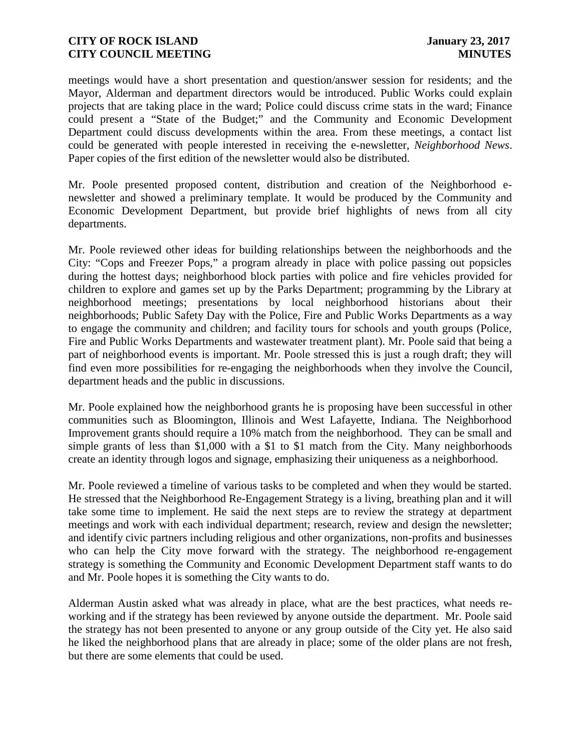meetings would have a short presentation and question/answer session for residents; and the Mayor, Alderman and department directors would be introduced. Public Works could explain projects that are taking place in the ward; Police could discuss crime stats in the ward; Finance could present a "State of the Budget;" and the Community and Economic Development Department could discuss developments within the area. From these meetings, a contact list could be generated with people interested in receiving the e-newsletter, *Neighborhood News*. Paper copies of the first edition of the newsletter would also be distributed.

Mr. Poole presented proposed content, distribution and creation of the Neighborhood e newsletter and showed a preliminary template. It would be produced by the Community and Economic Development Department, but provide brief highlights of news from all city departments.

Mr. Poole reviewed other ideas for building relationships between the neighborhoods and the City: "Cops and Freezer Pops," a program already in place with police passing out popsicles during the hottest days; neighborhood block parties with police and fire vehicles provided for children to explore and games set up by the Parks Department; programming by the Library at neighborhood meetings; presentations by local neighborhood historians about their neighborhoods; Public Safety Day with the Police, Fire and Public Works Departments as a way to engage the community and children; and facility tours for schools and youth groups (Police, Fire and Public Works Departments and wastewater treatment plant). Mr. Poole said that being a part of neighborhood events is important. Mr. Poole stressed this is just a rough draft; they will find even more possibilities for re-engaging the neighborhoods when they involve the Council, department heads and the public in discussions.

Mr. Poole explained how the neighborhood grants he is proposing have been successful in other communities such as Bloomington, Illinois and West Lafayette, Indiana. The Neighborhood Improvement grants should require a 10% match from the neighborhood. They can be small and simple grants of less than \$1,000 with a \$1 to \$1 match from the City. Many neighborhoods create an identity through logos and signage, emphasizing their uniqueness as a neighborhood.

Mr. Poole reviewed a timeline of various tasks to be completed and when they would be started. He stressed that the Neighborhood Re-Engagement Strategy is a living, breathing plan and it will take some time to implement. He said the next steps are to review the strategy at department meetings and work with each individual department; research, review and design the newsletter; and identify civic partners including religious and other organizations, non-profits and businesses who can help the City move forward with the strategy. The neighborhood re-engagement strategy is something the Community and Economic Development Department staff wants to do and Mr. Poole hopes it is something the City wants to do.

Alderman Austin asked what was already in place, what are the best practices, what needs re working and if the strategy has been reviewed by anyone outside the department. Mr. Poole said the strategy has not been presented to anyone or any group outside of the City yet. He also said he liked the neighborhood plans that are already in place; some of the older plans are not fresh, but there are some elements that could be used.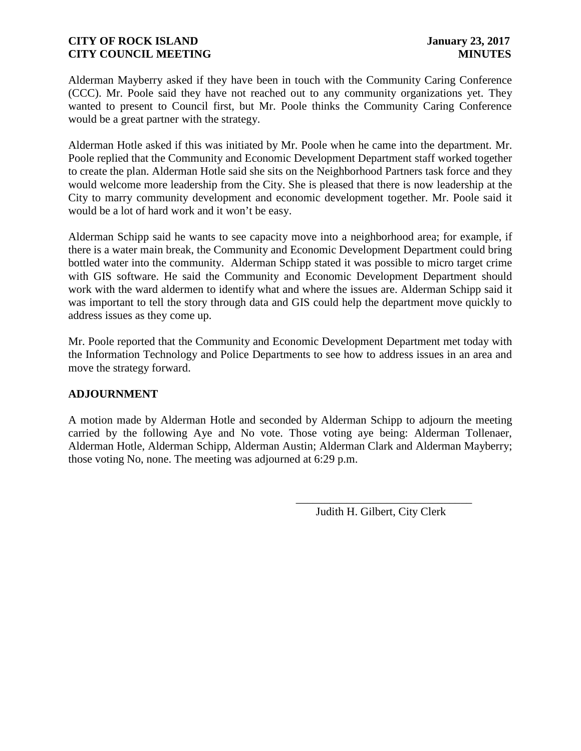Alderman Mayberry asked if they have been in touch with the Community Caring Conference (CCC). Mr. Poole said they have not reached out to any community organizations yet. They wanted to present to Council first, but Mr. Poole thinks the Community Caring Conference would be a great partner with the strategy.

Alderman Hotle asked if this was initiated by Mr. Poole when he came into the department. Mr. Poole replied that the Community and Economic Development Department staff worked together to create the plan. Alderman Hotle said she sits on the Neighborhood Partners task force and they would welcome more leadership from the City. She is pleased that there is now leadership at the City to marry community development and economic development together. Mr. Poole said it would be a lot of hard work and it won't be easy.

Alderman Schipp said he wants to see capacity move into a neighborhood area; for example, if there is a water main break, the Community and Economic Development Department could bring bottled water into the community. Alderman Schipp stated it was possible to micro target crime with GIS software. He said the Community and Economic Development Department should work with the ward aldermen to identify what and where the issues are. Alderman Schipp said it was important to tell the story through data and GIS could help the department move quickly to address issues as they come up.

Mr. Poole reported that the Community and Economic Development Department met today with the Information Technology and Police Departments to see how to address issues in an area and move the strategy forward.

# **ADJOURNMENT**

A motion made by Alderman Hotle and seconded by Alderman Schipp to adjourn the meeting carried by the following Aye and No vote. Those voting aye being: Alderman Tollenaer, Alderman Hotle, Alderman Schipp, Alderman Austin; Alderman Clark and Alderman Mayberry; those voting No, none. The meeting was adjourned at 6:29 p.m.

Judith H. Gilbert, City Clerk

\_\_\_\_\_\_\_\_\_\_\_\_\_\_\_\_\_\_\_\_\_\_\_\_\_\_\_\_\_\_\_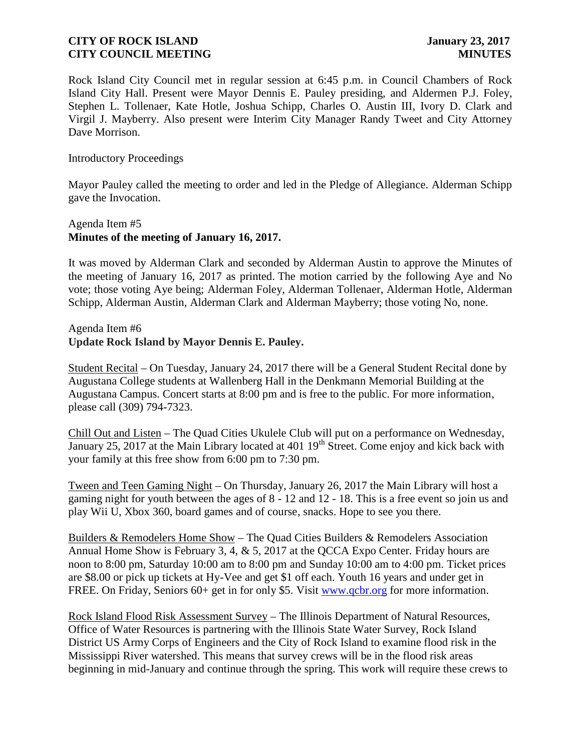Rock Island City Council met in regular session at 6:45 p.m. in Council Chambers of Rock Island City Hall. Present were Mayor Dennis E. Pauley presiding, and Aldermen P.J. Foley, Stephen L. Tollenaer, Kate Hotle, Joshua Schipp, Charles O. Austin III, Ivory D. Clark and Virgil J. Mayberry. Also present were Interim City Manager Randy Tweet and City Attorney Dave Morrison.

Introductory Proceedings

Mayor Pauley called the meeting to order and led in the Pledge of Allegiance. Alderman Schipp gave the Invocation.

## Agenda Item #5 **Minutes of the meeting of January 16, 2017.**

It was moved by Alderman Clark and seconded by Alderman Austin to approve the Minutes of the meeting of January 16, 2017 as printed. The motion carried by the following Aye and No vote; those voting Aye being; Alderman Foley, Alderman Tollenaer, Alderman Hotle, Alderman Schipp, Alderman Austin, Alderman Clark and Alderman Mayberry; those voting No, none.

Agenda Item #6 **Update Rock Island by Mayor Dennis E. Pauley.**

Student Recital – On Tuesday, January 24, 2017 there will be a General Student Recital done by Augustana College students at Wallenberg Hall in the Denkmann Memorial Building at the Augustana Campus. Concert starts at 8:00 pm and is free to the public. For more information, please call (309) 794-7323.

Chill Out and Listen – The Quad Cities Ukulele Club will put on a performance on Wednesday, January 25, 2017 at the Main Library located at 401  $19<sup>th</sup>$  Street. Come enjoy and kick back with your family at this free show from 6:00 pm to 7:30 pm.

Tween and Teen Gaming Night – On Thursday, January 26, 2017 the Main Library will host a gaming night for youth between the ages of 8 - 12 and 12 - 18. This is a free event so join us and play Wii U, Xbox 360, board games and of course, snacks. Hope to see you there.

Builders & Remodelers Home Show – The Quad Cities Builders & Remodelers Association Annual Home Show is February 3, 4, & 5, 2017 at the QCCA Expo Center. Friday hours are noon to 8:00 pm, Saturday 10:00 am to 8:00 pm and Sunday 10:00 am to 4:00 pm. Ticket prices are \$8.00 or pick up tickets at Hy-Vee and get \$1 off each. Youth 16 years and under get in FREE. On Friday, Seniors 60+ get in for only \$5. Visit www.qcbr.org for more information.

Rock Island Flood Risk Assessment Survey – The Illinois Department of Natural Resources, Office of Water Resources is partnering with the Illinois State Water Survey, Rock Island District US Army Corps of Engineers and the City of Rock Island to examine flood risk in the Mississippi River watershed. This means that survey crews will be in the flood risk areas beginning in mid-January and continue through the spring. This work will require these crews to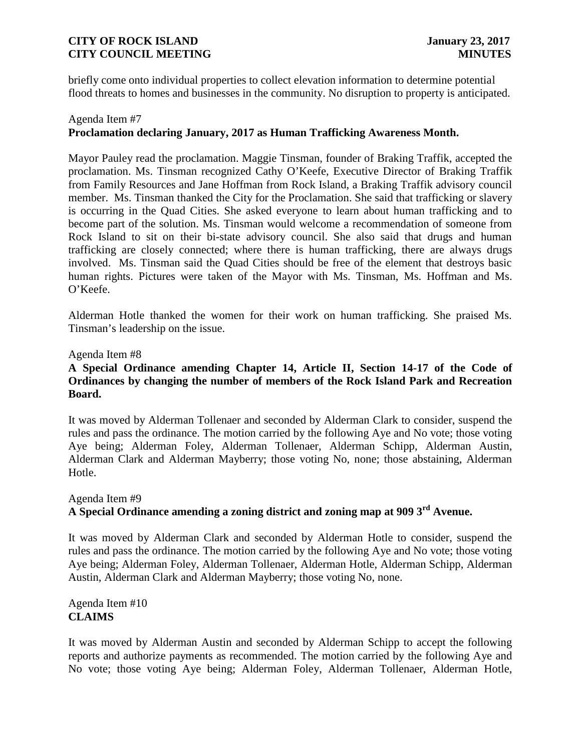briefly come onto individual properties to collect elevation information to determine potential flood threats to homes and businesses in the community. No disruption to property is anticipated.

# Agenda Item #7 **Proclamation declaring January, 2017 as Human Trafficking Awareness Month.**

Mayor Pauley read the proclamation. Maggie Tinsman, founder of Braking Traffik, accepted the proclamation. Ms. Tinsman recognized Cathy O'Keefe, Executive Director of Braking Traffik from Family Resources and Jane Hoffman from Rock Island, a Braking Traffik advisory council member. Ms. Tinsman thanked the City for the Proclamation. She said that trafficking or slavery is occurring in the Quad Cities. She asked everyone to learn about human trafficking and to become part of the solution. Ms. Tinsman would welcome a recommendation of someone from Rock Island to sit on their bi-state advisory council. She also said that drugs and human trafficking are closely connected; where there is human trafficking, there are always drugs involved. Ms. Tinsman said the Quad Cities should be free of the element that destroys basic human rights. Pictures were taken of the Mayor with Ms. Tinsman, Ms. Hoffman and Ms. O'Keefe.

Alderman Hotle thanked the women for their work on human trafficking. She praised Ms. Tinsman's leadership on the issue.

### Agenda Item #8

## **A Special Ordinance amending Chapter 14, Article II, Section 14-17 of the Code of Ordinances by changing the number of members of the Rock Island Park and Recreation Board.**

It was moved by Alderman Tollenaer and seconded by Alderman Clark to consider, suspend the rules and pass the ordinance. The motion carried by the following Aye and No vote; those voting Aye being; Alderman Foley, Alderman Tollenaer, Alderman Schipp, Alderman Austin, Alderman Clark and Alderman Mayberry; those voting No, none; those abstaining, Alderman Hotle.

# Agenda Item #9 **A Special Ordinance amending a zoning district and zoning map at 909 3rd Avenue.**

It was moved by Alderman Clark and seconded by Alderman Hotle to consider, suspend the rules and pass the ordinance. The motion carried by the following Aye and No vote; those voting Aye being; Alderman Foley, Alderman Tollenaer, Alderman Hotle, Alderman Schipp, Alderman Austin, Alderman Clark and Alderman Mayberry; those voting No, none.

Agenda Item #10 **CLAIMS**

It was moved by Alderman Austin and seconded by Alderman Schipp to accept the following reports and authorize payments as recommended. The motion carried by the following Aye and No vote; those voting Aye being; Alderman Foley, Alderman Tollenaer, Alderman Hotle,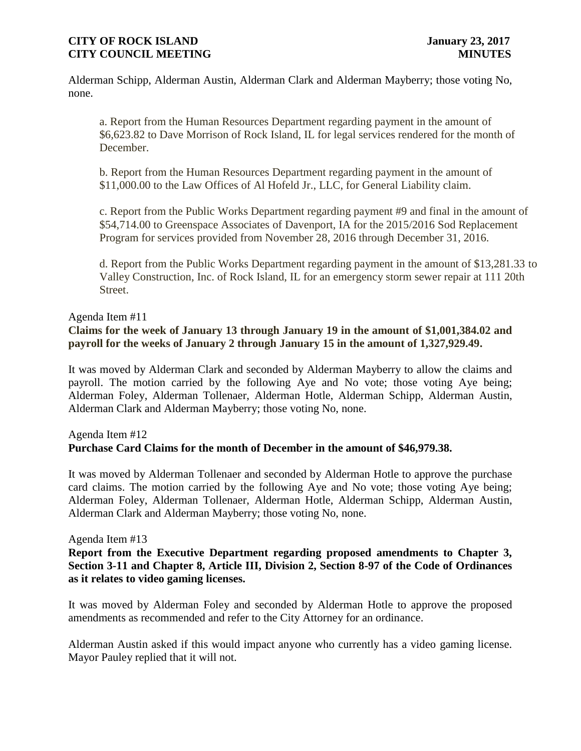Alderman Schipp, Alderman Austin, Alderman Clark and Alderman Mayberry; those voting No, none.

a. Report from the Human Resources Department regarding payment in the amount of \$6,623.82 to Dave Morrison of Rock Island, IL for legal services rendered for the month of December.

b. Report from the Human Resources Department regarding payment in the amount of \$11,000.00 to the Law Offices of Al Hofeld Jr., LLC, for General Liability claim.

c. Report from the Public Works Department regarding payment #9 and final in the amount of \$54,714.00 to Greenspace Associates of Davenport, IA for the 2015/2016 Sod Replacement Program for services provided from November 28, 2016 through December 31, 2016.

d. Report from the Public Works Department regarding payment in the amount of \$13,281.33 to Valley Construction, Inc. of Rock Island, IL for an emergency storm sewer repair at 111 20th Street.

### Agenda Item #11 **Claims for the week of January 13 through January 19 in the amount of \$1,001,384.02 and payroll for the weeks of January 2 through January 15 in the amount of 1,327,929.49.**

It was moved by Alderman Clark and seconded by Alderman Mayberry to allow the claims and payroll. The motion carried by the following Aye and No vote; those voting Aye being; Alderman Foley, Alderman Tollenaer, Alderman Hotle, Alderman Schipp, Alderman Austin, Alderman Clark and Alderman Mayberry; those voting No, none.

# Agenda Item #12 **Purchase Card Claims for the month of December in the amount of \$46,979.38.**

It was moved by Alderman Tollenaer and seconded by Alderman Hotle to approve the purchase card claims. The motion carried by the following Aye and No vote; those voting Aye being; Alderman Foley, Alderman Tollenaer, Alderman Hotle, Alderman Schipp, Alderman Austin, Alderman Clark and Alderman Mayberry; those voting No, none.

# Agenda Item #13

**Report from the Executive Department regarding proposed amendments to Chapter 3, Section 3-11 and Chapter 8, Article III, Division 2, Section 8-97 of the Code of Ordinances as it relates to video gaming licenses.**

It was moved by Alderman Foley and seconded by Alderman Hotle to approve the proposed amendments as recommended and refer to the City Attorney for an ordinance.

Alderman Austin asked if this would impact anyone who currently has a video gaming license. Mayor Pauley replied that it will not.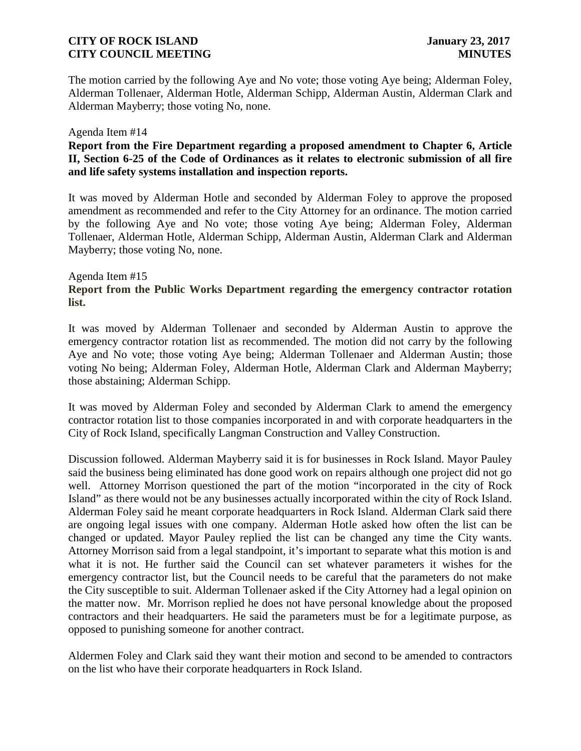The motion carried by the following Aye and No vote; those voting Aye being; Alderman Foley, Alderman Tollenaer, Alderman Hotle, Alderman Schipp, Alderman Austin, Alderman Clark and Alderman Mayberry; those voting No, none.

### Agenda Item #14

# **Report from the Fire Department regarding a proposed amendment to Chapter 6, Article II, Section 6-25 of the Code of Ordinances as it relates to electronic submission of all fire and life safety systems installation and inspection reports.**

It was moved by Alderman Hotle and seconded by Alderman Foley to approve the proposed amendment as recommended and refer to the City Attorney for an ordinance. The motion carried by the following Aye and No vote; those voting Aye being; Alderman Foley, Alderman Tollenaer, Alderman Hotle, Alderman Schipp, Alderman Austin, Alderman Clark and Alderman Mayberry; those voting No, none.

### Agenda Item #15 **Report from the Public Works Department regarding the emergency contractor rotation list.**

It was moved by Alderman Tollenaer and seconded by Alderman Austin to approve the emergency contractor rotation list as recommended. The motion did not carry by the following Aye and No vote; those voting Aye being; Alderman Tollenaer and Alderman Austin; those voting No being; Alderman Foley, Alderman Hotle, Alderman Clark and Alderman Mayberry; those abstaining; Alderman Schipp.

It was moved by Alderman Foley and seconded by Alderman Clark to amend the emergency contractor rotation list to those companies incorporated in and with corporate headquarters in the City of Rock Island, specifically Langman Construction and Valley Construction.

Discussion followed. Alderman Mayberry said it is for businesses in Rock Island. Mayor Pauley said the business being eliminated has done good work on repairs although one project did not go well. Attorney Morrison questioned the part of the motion "incorporated in the city of Rock Island" as there would not be any businesses actually incorporated within the city of Rock Island. Alderman Foley said he meant corporate headquarters in Rock Island. Alderman Clark said there are ongoing legal issues with one company. Alderman Hotle asked how often the list can be changed or updated. Mayor Pauley replied the list can be changed any time the City wants. Attorney Morrison said from a legal standpoint, it's important to separate what this motion is and what it is not. He further said the Council can set whatever parameters it wishes for the emergency contractor list, but the Council needs to be careful that the parameters do not make the City susceptible to suit. Alderman Tollenaer asked if the City Attorney had a legal opinion on the matter now. Mr. Morrison replied he does not have personal knowledge about the proposed contractors and their headquarters. He said the parameters must be for a legitimate purpose, as opposed to punishing someone for another contract.

Aldermen Foley and Clark said they want their motion and second to be amended to contractors on the list who have their corporate headquarters in Rock Island.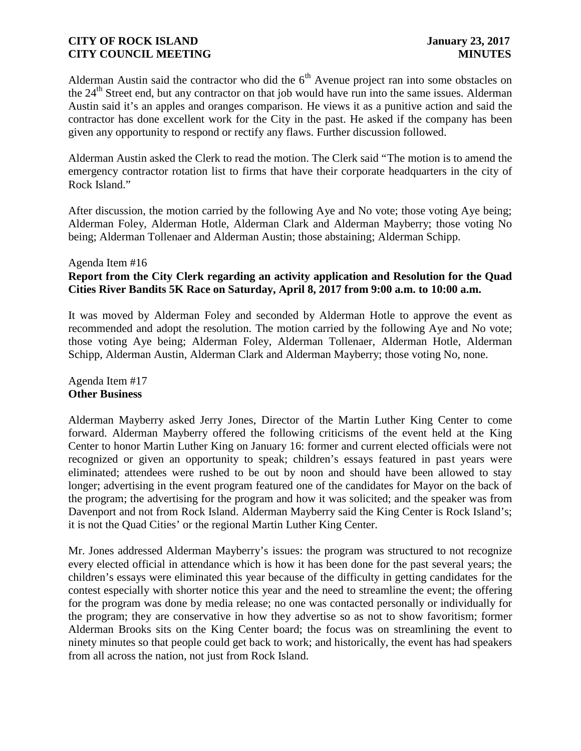Alderman Austin said the contractor who did the  $6<sup>th</sup>$  Avenue project ran into some obstacles on the 24<sup>th</sup> Street end, but any contractor on that job would have run into the same issues. Alderman Austin said it's an apples and oranges comparison. He views it as a punitive action and said the contractor has done excellent work for the City in the past. He asked if the company has been given any opportunity to respond or rectify any flaws. Further discussion followed.

Alderman Austin asked the Clerk to read the motion. The Clerk said "The motion is to amend the emergency contractor rotation list to firms that have their corporate headquarters in the city of Rock Island."

After discussion, the motion carried by the following Aye and No vote; those voting Aye being; Alderman Foley, Alderman Hotle, Alderman Clark and Alderman Mayberry; those voting No being; Alderman Tollenaer and Alderman Austin; those abstaining; Alderman Schipp.

#### Agenda Item #16

# **Report from the City Clerk regarding an activity application and Resolution for the Quad Cities River Bandits 5K Race on Saturday, April 8, 2017 from 9:00 a.m. to 10:00 a.m.**

It was moved by Alderman Foley and seconded by Alderman Hotle to approve the event as recommended and adopt the resolution. The motion carried by the following Aye and No vote; those voting Aye being; Alderman Foley, Alderman Tollenaer, Alderman Hotle, Alderman Schipp, Alderman Austin, Alderman Clark and Alderman Mayberry; those voting No, none.

### Agenda Item #17 **Other Business**

Alderman Mayberry asked Jerry Jones, Director of the Martin Luther King Center to come forward. Alderman Mayberry offered the following criticisms of the event held at the King Center to honor Martin Luther King on January 16: former and current elected officials were not recognized or given an opportunity to speak; children's essays featured in past years were eliminated; attendees were rushed to be out by noon and should have been allowed to stay longer; advertising in the event program featured one of the candidates for Mayor on the back of the program; the advertising for the program and how it was solicited; and the speaker was from Davenport and not from Rock Island. Alderman Mayberry said the King Center is Rock Island's; it is not the Quad Cities' or the regional Martin Luther King Center.

Mr. Jones addressed Alderman Mayberry's issues: the program was structured to not recognize every elected official in attendance which is how it has been done for the past several years; the children's essays were eliminated this year because of the difficulty in getting candidates for the contest especially with shorter notice this year and the need to streamline the event; the offering for the program was done by media release; no one was contacted personally or individually for the program; they are conservative in how they advertise so as not to show favoritism; former Alderman Brooks sits on the King Center board; the focus was on streamlining the event to ninety minutes so that people could get back to work; and historically, the event has had speakers from all across the nation, not just from Rock Island.